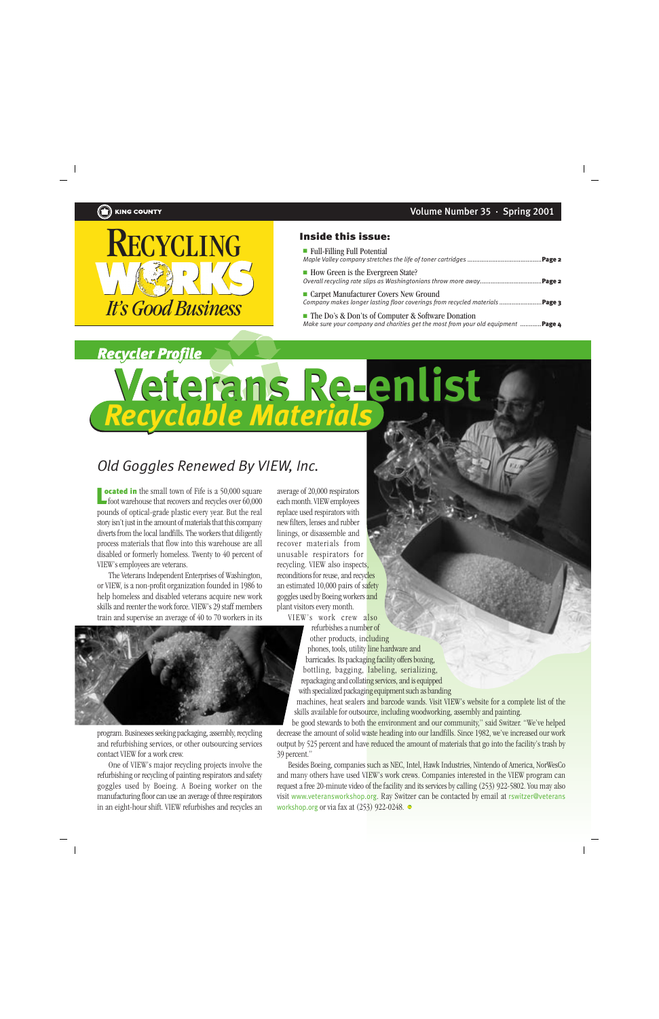

## Inside this issue:

| Full-Filling Full Potential                                                                                                                                 |  |
|-------------------------------------------------------------------------------------------------------------------------------------------------------------|--|
| • How Green is the Evergreen State?<br>Carpet Manufacturer Covers New Ground<br>Company makes longer lasting floor coverings from recycled materials Page 3 |  |
|                                                                                                                                                             |  |

*Make sure your company and charities get the most from your old equipment ...........*.**Page 4** 

## *Recycler Profile Profile* **Veterans Re-enlist** *Recyclable Materials* **Veterans Re-enlist** *Recyclable Materials*

## *Old Goggles Renewed By VIEW, Inc.*

**ocated in** the small town of Fife is a 50,000 square **ocated in** the small town of Fife is a 50,000 square average of 20,000 respirators<br>foot warehouse that recovers and recycles over 60,000 each month. VIEW employees pounds of optical-grade plastic every year. But the real story isn't just in the amount of materials that this company diverts from the local landfills. The workers that diligently process materials that flow into this warehouse are all disabled or formerly homeless. Twenty to 40 percent of VIEW's employees are veterans.

The Veterans Independent Enterprises of Washington, or VIEW, is a non-profit organization founded in 1986 to help homeless and disabled veterans acquire new work skills and reenter the work force. VIEW's 29 staff members train and supervise an average of 40 to 70 workers in its

each month. VIEW employees replace used respirators with new filters, lenses and rubber linings, or disassemble and recover materials from unusable respirators for recycling. VIEW also inspects, reconditions for reuse, and recycles an estimated 10,000 pairs of safety goggles used by Boeing workers and plant visitors every month.

VIEW's work crew also

refurbishes a number of other products, including phones, tools, utility line hardware and barricades. Its packaging facility offers boxing, bottling, bagging, labeling, serializing, repackaging and collating services, and is equipped with specialized packaging equipment such as banding

machines, heat sealers and barcode wands. Visit VIEW's website for a complete list of the skills available for outsource, including woodworking, assembly and painting.

be good stewards to both the environment and our community," said Switzer. "We've helped decrease the amount of solid waste heading into our landfills. Since 1982, we've increased our work output by 525 percent and have reduced the amount of materials that go into the facility's trash by 39 percent."

Besides Boeing, companies such as NEC, Intel, Hawk Industries, Nintendo of America, NorWesCo and many others have used VIEW's work crews. Companies interested in the VIEW program can request a free 20-minute video of the facility and its services by calling (253) 922-5802. You may also visit www.veteransworkshop.org. Ray Switzer can be contacted by email at rswitzer@veterans workshop.org or via fax at  $(253)$  922-0248.



program. Businesses seeking packaging, assembly, recycling and refurbishing services, or other outsourcing services contact VIEW for a work crew.

One of VIEW's major recycling projects involve the refurbishing or recycling of painting respirators and safety goggles used by Boeing. A Boeing worker on the manufacturing floor can use an average of three respirators in an eight-hour shift. VIEW refurbishes and recycles an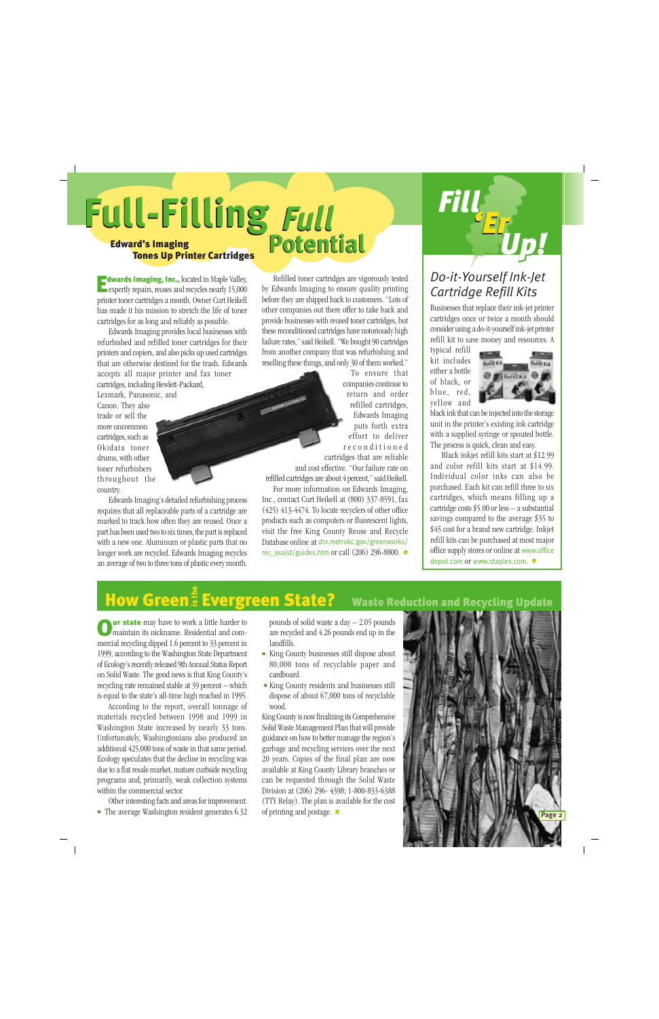# Edward's Imaging *Full* **Full-Filling** *Full* **Full-Filling Potential Potential**

## Tones Up Printer Cartridges

dwards Imaging, Inc., located in Maple Valley, **Edwards Imaging, Inc.,** located in Maple Valley,<br>expertly repairs, reuses and recycles nearly 15,000 printer toner cartridges a month. Owner Curt Heikell has made it his mission to stretch the life of toner cartridges for as long and reliably as possible.

Edwards Imaging provides local businesses with refurbished and refilled toner cartridges for their printers and copiers, and also picks up used cartridges that are otherwise destined for the trash. Edwards accepts all major printer and fax toner cartridges, including Hewlett-Packard,

Lexmark, Panasonic, and Canon. They also trade or sell the more uncommon cartridges, such as Okidata toner drums, with other toner refurbishers throughout the country.

Edwards Imaging's detailed refurbishing process requires that all replaceable parts of a cartridge are marked to track how often they are reused. Once a part has been used two to six times, the part is replaced with a new one. Aluminum or plastic parts that no longer work are recycled. Edwards Imaging recycles an average of two to three tons of plastic every month.

Refilled toner cartridges are vigorously tested by Edwards Imaging to ensure quality printing before they are shipped back to customers. "Lots of other companies out there offer to take back and provide businesses with reused toner cartridges, but these reconditioned cartridges have notoriously high failure rates," said Heikell. "We bought 90 cartridges from another company that was refurbishing and reselling these things, and only 30 of them worked."

> To ensure that companies continue to return and order refilled cartridges, Edwards Imaging puts forth extra effort to deliver reconditioned cartridges that are reliable

and cost effective. "Our failure rate on refilled cartridges are about 4 percent," said Heikell. For more information on Edwards Imaging, Inc., contact Curt Heikell at (800) 337-8591, fax (425) 413-4474. To locate recyclers of other office products such as computers or fluorescent lights, visit the free King County Reuse and Recycle Database online at dnr.metrokc.gov/greenworks/ rec\_assist/guides.htm or call (206) 296-8800.  $\bullet$ 

## *Do-it-Yourself Ink-Jet Cartridge Refill Kits*

*Fill'ErUp!*

Businesses that replace their ink-jet printer cartridges once or twice a month should consider using a do-it-yourself ink-jet printer refill kit to save money and resources. A

typical refill kit includes either a bottle of black, or blue, red, yellow and



black ink that can be injected into the storage unit in the printer's existing ink cartridge with a supplied syringe or spouted bottle. The process is quick, clean and easy.

Black inkjet refill kits start at \$12.99 and color refill kits start at \$14.99. Individual color inks can also be purchased. Each kit can refill three to six cartridges, which means filling up a cartridge costs  $$5.00$  or less  $-$  a substantial savings compared to the average \$35 to \$45 cost for a brand new cartridge. Inkjet refill kits can be purchased at most major office supply stores or online at www.office depot.com or www.staples.com.

# How Green<sup>e</sup> Evergreen State? Waste Reduction and Recycling Update

**ur state** may have to work a little harder to maintain its nickname. Residential and com-**Our state** may have to work a little harder to maintain its nickname. Residential and commercial recycling dipped 1.6 percent to 33 percent in 1999, according to the Washington State Department of Ecology's recently released 9th Annual Status Report on Solid Waste. The good news is that King County's recycling rate remained stable at 39 percent – which is equal to the state's all-time high reached in 1995.

According to the report, overall tonnage of materials recycled between 1998 and 1999 in Washington State increased by nearly 33 tons. Unfortunately, Washingtonians also produced an additional 425,000 tons of waste in that same period. Ecology speculates that the decline in recycling was due to a flat resale market, mature curbside recycling programs and, primarily, weak collection systems within the commercial sector.

Other interesting facts and areas for improvement: • The average Washington resident generates 6.32 pounds of solid waste a day – 2.05 pounds are recycled and 4.26 pounds end up in the landfills.

- King County businesses still dispose about 80,000 tons of recyclable paper and cardboard.
- King County residents and businesses still dispose of about 67,000 tons of recyclable wood.

King County is now finalizing its Comprehensive Solid Waste Management Plan that will provide guidance on how to better manage the region's garbage and recycling services over the next 20 years. Copies of the final plan are now available at King County Library branches or can be requested through the Solid Waste Division at (206) 296- 4398; 1-800-833-6388 (TTY Relay). The plan is available for the cost of printing and postage.

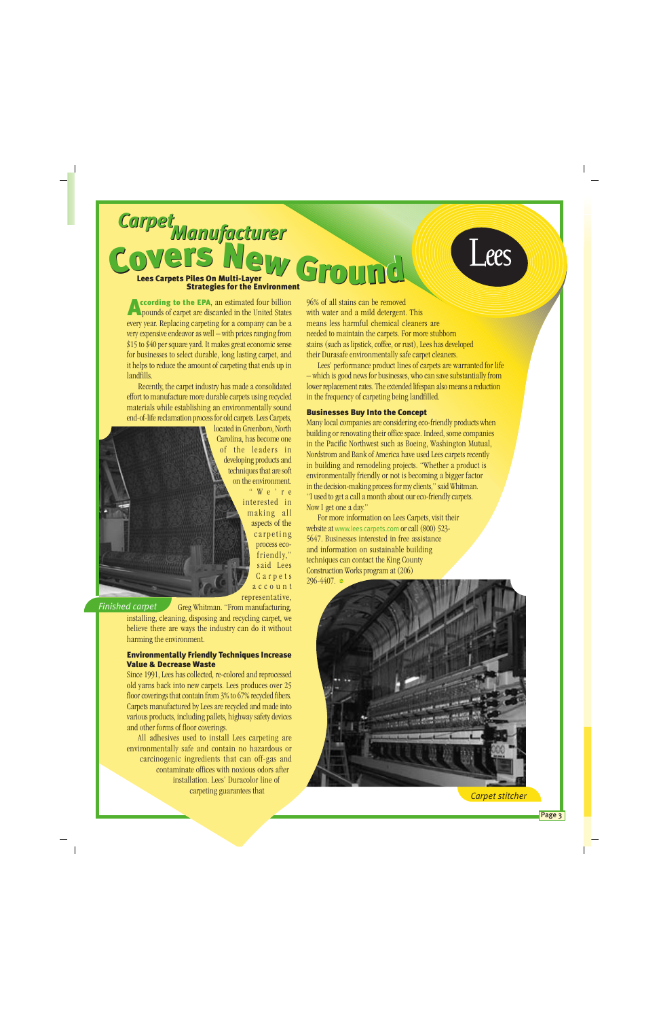## Lees Carpets Piles On Multi-Layer Strategies for the Environment *Manufacturer CarpetManufacturer Carpet* C d COVETS NEW GROUND

# Lees

ccording to the EPA, an estimated four billion pounds of carpet are discarded in the United States every year. Replacing carpeting for a company can be a very expensive endeavor as well – with prices ranging from \$15 to \$40 per square yard. It makes great economic sense for businesses to select durable, long lasting carpet, and it helps to reduce the amount of carpeting that ends up in landfills. A

Recently, the carpet industry has made a consolidated effort to manufacture more durable carpets using recycled materials while establishing an environmentally sound end-of-life reclamation process for old carpets. Lees Carpets,

located in Greenboro, North Carolina, has become one of the leaders in developing products and techniques that are soft on the environment. " W e ' r e interested in making all aspects of the carpeting process ecofriendly," said Lees Carpets account representative,

### *Finished carpet*

Greg Whitman. "From manufacturing, installing, cleaning, disposing and recycling carpet, we believe there are ways the industry can do it without harming the environment.

### Environmentally Friendly Techniques Increase Value & Decrease Waste

Since 1991, Lees has collected, re-colored and reprocessed old yarns back into new carpets. Lees produces over 25 floor coverings that contain from 3% to 67% recycled fibers. Carpets manufactured by Lees are recycled and made into various products, including pallets, highway safety devices and other forms of floor coverings.

All adhesives used to install Lees carpeting are environmentally safe and contain no hazardous or carcinogenic ingredients that can off-gas and contaminate offices with noxious odors after installation. Lees' Duracolor line of carpeting guarantees that

96% of all stains can be removed with water and a mild detergent. This means less harmful chemical cleaners are needed to maintain the carpets. For more stubborn stains (such as lipstick, coffee, or rust), Lees has developed their Durasafe environmentally safe carpet cleaners.

Lees' performance product lines of carpets are warranted for life – which is good news for businesses, who can save substantially from lower replacement rates. The extended lifespan also means a reduction in the frequency of carpeting being landfilled.

### Businesses Buy Into the Concept

Many local companies are considering eco-friendly products when building or renovating their office space. Indeed, some companies in the Pacific Northwest such as Boeing, Washington Mutual, Nordstrom and Bank of America have used Lees carpets recently in building and remodeling projects. "Whether a product is environmentally friendly or not is becoming a bigger factor in the decision-making process for my clients," said Whitman. "I used to get a call a month about our eco-friendly carpets. Now I get one a day."

For more information on Lees Carpets, visit their website at www.lees carpets.com or call (800) 523- 5647. Businesses interested in free assistance and information on sustainable building techniques can contact the King County Construction Works program at (206) 296-4407. ●



*Carpet stitcher*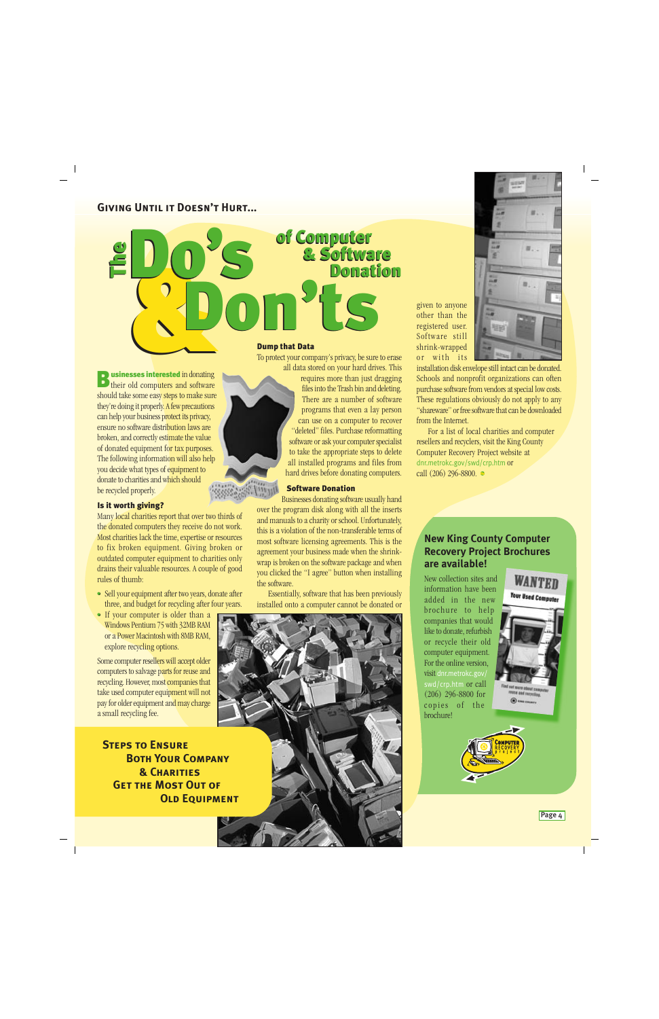## **Giving Until it Doesn't Hurt...**

DO'S

Do's

Don'ts Don'ts of Computer & Software of Computer & Software Donation Donation

> requires more than just dragging files into the Trash bin and deleting. There are a number of software programs that even a lay person

given to anyone other than the registered user. Software still shrink-wrapped or with its



installation disk envelope still intact can be donated. Schools and nonprofit organizations can often purchase software from vendors at special low costs. These regulations obviously do not apply to any "shareware" or free software that can be downloaded from the Internet.

For a list of local charities and computer resellers and recyclers, visit the King County Computer Recovery Project website at dnr.metrokc.gov/swd/crp.htm or

#### call (206) 296-8800. • can use on a computer to recover "deleted" files. Purchase reformatting software or ask your computer specialist to take the appropriate steps to delete all installed programs and files from hard drives before donating computers.

## Software Donation

Businesses donating software usually hand over the program disk along with all the inserts and manuals to a charity or school. Unfortunately, this is a violation of the non-transferable terms of most software licensing agreements. This is the agreement your business made when the shrinkwrap is broken on the software package and when you clicked the "I agree" button when installing the software.

Essentially, software that has been previously installed onto a computer cannot be donated or

**New King County Computer Recovery Project Brochures are available!**

> New collection sites and information have been added in the new brochure to help companies that would like to donate, refurbish or recycle their old computer equipment. For the online version, visit dnr.metrokc.gov/ swd/crp.htm or call (206) 296-8800 for copies of the brochure!

## **WANTEN Your Used Compute**



esses interested in donating usinesses interested in donating **B** usinesses interested in donating<br>their old computers and software should take some easy steps to make sure they're doing it properly. A few precautions can help your business protect its privacy, ensure no software distribution laws are broken, and correctly estimate the value of donated equipment for tax purposes. The following information will also help To protect your company's privacy, be sure to erase all data stored on your hard drives. This

**William** 

Dump that Data

#### Is it worth giving?

be recycled properly.

you decide what types of equipment to donate to charities and which should

The

The

Many local charities report that over two thirds of the donated computers they receive do not work. Most charities lack the time, expertise or resources to fix broken equipment. Giving broken or outdated computer equipment to charities only drains their valuable resources. A couple of good rules of thumb:

- Sell your equipment after two years, donate after three, and budget for recycling after four years.
- If your computer is older than a Windows Pentium 75 with 32MB RAM or a Power Macintosh with 8MB RAM, explore recycling options.

Some computer resellers will accept older computers to salvage parts for reuse and recycling. However, most companies that take used computer equipment will not pay for older equipment and may charge a small recycling fee.

 **Steps to Ensure Both Your Company & Charities Get the Most Out of***OLD EQUIPMENT* 



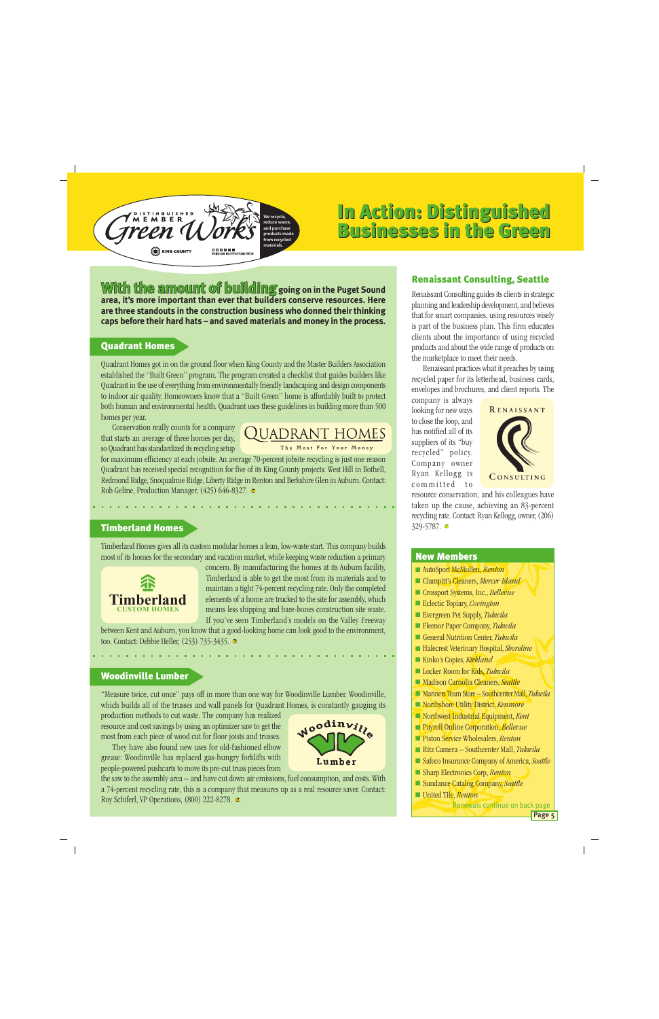

## In Action: Distinguished Businesses in the Green In Action: Distinguished Businesses in the Green

**With the amount of building** going on in the Puget Sound **area, it's more important than ever that builders conserve resources. Here are three standouts in the construction business who donned their thinking caps before their hard hats – and saved materials and money in the process.**

## Quadrant Homes

Quadrant Homes got in on the ground floor when King County and the Master Builders Association established the "Built Green" program. The program created a checklist that guides builders like Quadrant in the use of everything from environmentally friendly landscaping and design components to indoor air quality. Homeowners know that a "Built Green" home is affordably built to protect both human and environmental health. Quadrant uses these guidelines in building more than 500 homes per year.

Conservation really counts for a company that starts an average of three homes per day, so Quadrant has standardized its recycling setup

## **QUADRANT HOMES**

The Most For Your Money

for maximum efficiency at each jobsite. An average 70-percent jobsite recycling is just one reason Quadrant has received special recognition for five of its King County projects: West Hill in Bothell, Redmond Ridge, Snoqualmie Ridge, Liberty Ridge in Renton and Berkshire Glen in Auburn. Contact: Rob Geline, Production Manager, (425) 646-8327.

## Timberland Homes

Timberland Homes gives all its custom modular homes a lean, low-waste start. This company builds most of its homes for the secondary and vacation market, while keeping waste reduction a primary



concern. By manufacturing the homes at its Auburn facility, Timberland is able to get the most from its materials and to maintain a tight 74-percent recycling rate. Only the completed elements of a home are trucked to the site for assembly, which means less shipping and bare-bones construction site waste. If you've seen Timberland's models on the Valley Freeway

Noodinville

Lumber

between Kent and Auburn, you know that a good-looking home can look good to the environment, too. Contact: Debbie Heller, (253) 735-3435.

## Woodinville Lumber

"Measure twice, cut once" pays off in more than one way for Woodinville Lumber. Woodinville, which builds all of the trusses and wall panels for Quadrant Homes, is constantly gauging its

production methods to cut waste. The company has realized resource and cost savings by using an optimizer saw to get the most from each piece of wood cut for floor joists and trusses.

They have also found new uses for old-fashioned elbow grease: Woodinville has replaced gas-hungry forklifts with people-powered pushcarts to move its pre-cut truss pieces from



## Renaissant Consulting, Seattle

Renaissant Consulting guides its clients in strategic planning and leadership development, and believes that for smart companies, using resources wisely is part of the business plan. This firm educates clients about the importance of using recycled products and about the wide range of products on the marketplace to meet their needs.

Renaissant practices what it preaches by using recycled paper for its letterhead, business cards, envelopes and brochures, and client reports. The

company is always looking for new ways to close the loop, and has notified all of its suppliers of its "buy recycled" policy. Company owner Ryan Kellogg is committed to



resource conservation, and his colleagues have taken up the cause, achieving an 83-percent recycling rate. Contact: Ryan Kellogg, owner, (206) 329-5787. ●

## New Members

- AutoSport McMullen, *Renton*
- Clampitt's Cleaners, *Mercer Island*
- Crossport Systems, Inc., *Bellevue*
- Eclectic Topiary, *Covington*
- Evergreen Pet Supply, *Tukwila*
- Fleenor Paper Company, *Tukwila*
- General Nutrition Center, *Tukwila*
- Halecrest Veterinary Hospital, *Shoreline*
- Kinko's Copies, *Kirkland*
- Locker Room for Kids, *Tukwila*
- Madison Carnolia Cleaners, *Seattle*
- Mariners Team Store Southcenter Mall, *Tukwila*
- Northshore Utility District, *Kenmore*
- Northwest Industrial Equipment, *Kent*
- Payroll Online Corporation, *Bellevue*
- Piston Service Wholesalers, *Renton*
- Ritz Camera Southcenter Mall, *Tukwila*
- Safeco Insurance Company of America, *Seattle*
- Sharp Electronics Corp, *Renton*
- Sundance Catalog Company, Seattle
- United Tile, *Renton*

**Renewals continue on back page**